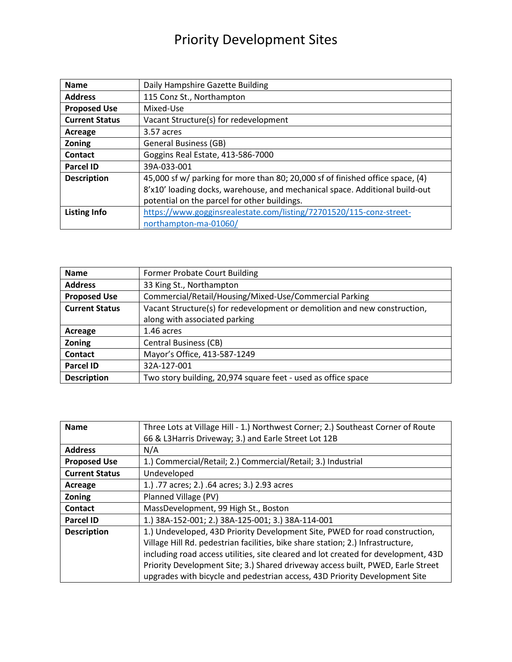## Priority Development Sites

| <b>Name</b>           | Daily Hampshire Gazette Building                                               |
|-----------------------|--------------------------------------------------------------------------------|
| <b>Address</b>        | 115 Conz St., Northampton                                                      |
| <b>Proposed Use</b>   | Mixed-Use                                                                      |
| <b>Current Status</b> | Vacant Structure(s) for redevelopment                                          |
| Acreage               | 3.57 acres                                                                     |
| Zoning                | <b>General Business (GB)</b>                                                   |
| Contact               | Goggins Real Estate, 413-586-7000                                              |
| <b>Parcel ID</b>      | 39A-033-001                                                                    |
| <b>Description</b>    | 45,000 sf w/ parking for more than 80; 20,000 sf of finished office space, (4) |
|                       | 8'x10' loading docks, warehouse, and mechanical space. Additional build-out    |
|                       | potential on the parcel for other buildings.                                   |
| <b>Listing Info</b>   | https://www.gogginsrealestate.com/listing/72701520/115-conz-street-            |
|                       | northampton-ma-01060/                                                          |

| <b>Name</b>           | <b>Former Probate Court Building</b>                                      |
|-----------------------|---------------------------------------------------------------------------|
| <b>Address</b>        | 33 King St., Northampton                                                  |
| <b>Proposed Use</b>   | Commercial/Retail/Housing/Mixed-Use/Commercial Parking                    |
| <b>Current Status</b> | Vacant Structure(s) for redevelopment or demolition and new construction, |
|                       | along with associated parking                                             |
| Acreage               | 1.46 acres                                                                |
| Zoning                | <b>Central Business (CB)</b>                                              |
| <b>Contact</b>        | Mayor's Office, 413-587-1249                                              |
| <b>Parcel ID</b>      | 32A-127-001                                                               |
| <b>Description</b>    | Two story building, 20,974 square feet - used as office space             |

| <b>Name</b>           | Three Lots at Village Hill - 1.) Northwest Corner; 2.) Southeast Corner of Route   |
|-----------------------|------------------------------------------------------------------------------------|
|                       | 66 & L3Harris Driveway; 3.) and Earle Street Lot 12B                               |
| <b>Address</b>        | N/A                                                                                |
| <b>Proposed Use</b>   | 1.) Commercial/Retail; 2.) Commercial/Retail; 3.) Industrial                       |
| <b>Current Status</b> | Undeveloped                                                                        |
| Acreage               | 1.) .77 acres; 2.) .64 acres; 3.) 2.93 acres                                       |
| Zoning                | Planned Village (PV)                                                               |
| <b>Contact</b>        | MassDevelopment, 99 High St., Boston                                               |
| <b>Parcel ID</b>      | 1.) 38A-152-001; 2.) 38A-125-001; 3.) 38A-114-001                                  |
| <b>Description</b>    | 1.) Undeveloped, 43D Priority Development Site, PWED for road construction,        |
|                       | Village Hill Rd. pedestrian facilities, bike share station; 2.) Infrastructure,    |
|                       | including road access utilities, site cleared and lot created for development, 43D |
|                       | Priority Development Site; 3.) Shared driveway access built, PWED, Earle Street    |
|                       | upgrades with bicycle and pedestrian access, 43D Priority Development Site         |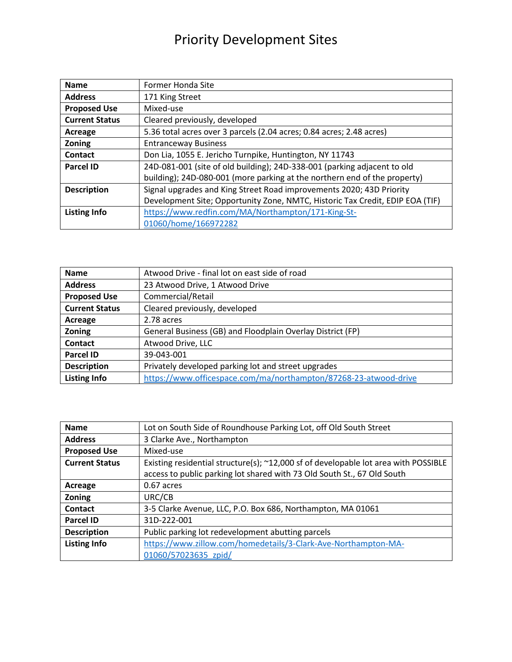## Priority Development Sites

| <b>Name</b>           | Former Honda Site                                                             |
|-----------------------|-------------------------------------------------------------------------------|
| <b>Address</b>        | 171 King Street                                                               |
| <b>Proposed Use</b>   | Mixed-use                                                                     |
| <b>Current Status</b> | Cleared previously, developed                                                 |
| Acreage               | 5.36 total acres over 3 parcels (2.04 acres; 0.84 acres; 2.48 acres)          |
| Zoning                | <b>Entranceway Business</b>                                                   |
| <b>Contact</b>        | Don Lia, 1055 E. Jericho Turnpike, Huntington, NY 11743                       |
| <b>Parcel ID</b>      | 24D-081-001 (site of old building); 24D-338-001 (parking adjacent to old      |
|                       | building); 24D-080-001 (more parking at the northern end of the property)     |
| <b>Description</b>    | Signal upgrades and King Street Road improvements 2020; 43D Priority          |
|                       | Development Site; Opportunity Zone, NMTC, Historic Tax Credit, EDIP EOA (TIF) |
| <b>Listing Info</b>   | https://www.redfin.com/MA/Northampton/171-King-St-                            |
|                       | 01060/home/166972282                                                          |

| <b>Name</b>           | Atwood Drive - final lot on east side of road                    |
|-----------------------|------------------------------------------------------------------|
| <b>Address</b>        | 23 Atwood Drive, 1 Atwood Drive                                  |
| <b>Proposed Use</b>   | Commercial/Retail                                                |
| <b>Current Status</b> | Cleared previously, developed                                    |
| Acreage               | 2.78 acres                                                       |
| Zoning                | General Business (GB) and Floodplain Overlay District (FP)       |
| <b>Contact</b>        | Atwood Drive, LLC                                                |
| <b>Parcel ID</b>      | 39-043-001                                                       |
| <b>Description</b>    | Privately developed parking lot and street upgrades              |
| <b>Listing Info</b>   | https://www.officespace.com/ma/northampton/87268-23-atwood-drive |

| <b>Name</b>           | Lot on South Side of Roundhouse Parking Lot, off Old South Street                   |
|-----------------------|-------------------------------------------------------------------------------------|
| <b>Address</b>        | 3 Clarke Ave., Northampton                                                          |
| <b>Proposed Use</b>   | Mixed-use                                                                           |
| <b>Current Status</b> | Existing residential structure(s); ~12,000 sf of developable lot area with POSSIBLE |
|                       | access to public parking lot shared with 73 Old South St., 67 Old South             |
| Acreage               | 0.67 acres                                                                          |
| Zoning                | URC/CB                                                                              |
| <b>Contact</b>        | 3-5 Clarke Avenue, LLC, P.O. Box 686, Northampton, MA 01061                         |
| <b>Parcel ID</b>      | 31D-222-001                                                                         |
| <b>Description</b>    | Public parking lot redevelopment abutting parcels                                   |
| <b>Listing Info</b>   | https://www.zillow.com/homedetails/3-Clark-Ave-Northampton-MA-                      |
|                       | 01060/57023635 zpid/                                                                |